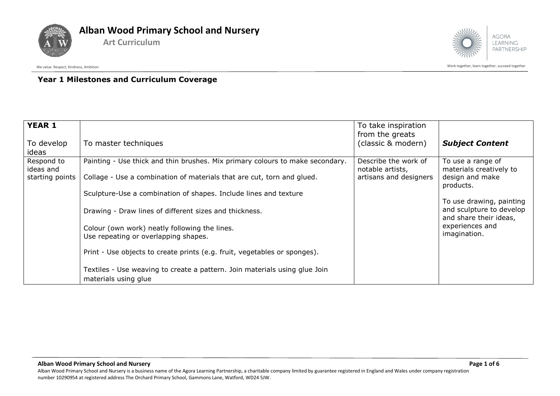



Work together, learn together, learn together, succeed together

## **Year 1 Milestones and Curriculum Coverage**

| <b>YEAR 1</b><br>To develop<br>ideas       | To master techniques                                                                                                                                                                                                                                                                                                                                                                                                                                                                                                                                              | To take inspiration<br>from the greats<br>(classic & modern)       | <b>Subject Content</b>                                                                                                                                                                            |
|--------------------------------------------|-------------------------------------------------------------------------------------------------------------------------------------------------------------------------------------------------------------------------------------------------------------------------------------------------------------------------------------------------------------------------------------------------------------------------------------------------------------------------------------------------------------------------------------------------------------------|--------------------------------------------------------------------|---------------------------------------------------------------------------------------------------------------------------------------------------------------------------------------------------|
| Respond to<br>ideas and<br>starting points | Painting - Use thick and thin brushes. Mix primary colours to make secondary.<br>Collage - Use a combination of materials that are cut, torn and glued.<br>Sculpture-Use a combination of shapes. Include lines and texture<br>Drawing - Draw lines of different sizes and thickness.<br>Colour (own work) neatly following the lines.<br>Use repeating or overlapping shapes.<br>Print - Use objects to create prints (e.g. fruit, vegetables or sponges).<br>Textiles - Use weaving to create a pattern. Join materials using glue Join<br>materials using glue | Describe the work of<br>notable artists,<br>artisans and designers | To use a range of<br>materials creatively to<br>design and make<br>products.<br>To use drawing, painting<br>and sculpture to develop<br>and share their ideas,<br>experiences and<br>imagination. |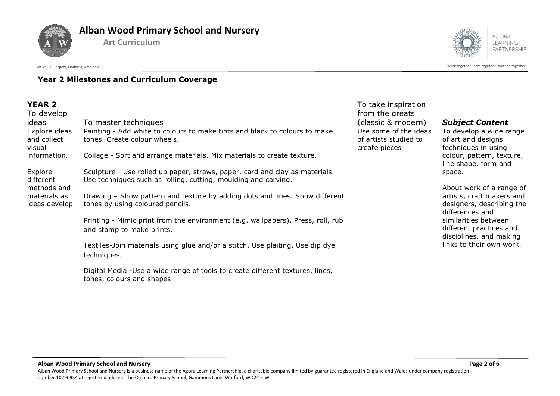



# **Year 2 Milestones and Curriculum Coverage**

| <b>YEAR 2</b><br>To develop                  |                                                                                                                                               | To take inspiration<br>from the greats                          |                                                                                                       |
|----------------------------------------------|-----------------------------------------------------------------------------------------------------------------------------------------------|-----------------------------------------------------------------|-------------------------------------------------------------------------------------------------------|
| ideas                                        | To master techniques                                                                                                                          | (classic & modern)                                              | <b>Subject Content</b>                                                                                |
| Explore ideas<br>and collect<br>visual       | Painting - Add white to colours to make tints and black to colours to make<br>tones. Create colour wheels.                                    | Use some of the ideas<br>of artists studied to<br>create pieces | To develop a wide range<br>of art and designs<br>techniques in using                                  |
| information.                                 | Collage - Sort and arrange materials. Mix materials to create texture.                                                                        |                                                                 | colour, pattern, texture,<br>line shape, form and                                                     |
| Explore<br>different                         | Sculpture - Use rolled up paper, straws, paper, card and clay as materials.<br>Use techniques such as rolling, cutting, moulding and carving. |                                                                 | space.                                                                                                |
| methods and<br>materials as<br>ideas develop | Drawing - Show pattern and texture by adding dots and lines. Show different<br>tones by using coloured pencils.                               |                                                                 | About work of a range of<br>artists, craft makers and<br>designers, describing the<br>differences and |
|                                              | Printing - Mimic print from the environment (e.g. wallpapers). Press, roll, rub<br>and stamp to make prints.                                  |                                                                 | similarities between<br>different practices and<br>disciplines, and making                            |
|                                              | Textiles-Join materials using glue and/or a stitch. Use plaiting. Use dip dye<br>techniques.                                                  |                                                                 | links to their own work.                                                                              |
|                                              | Digital Media - Use a wide range of tools to create different textures, lines,<br>tones, colours and shapes                                   |                                                                 |                                                                                                       |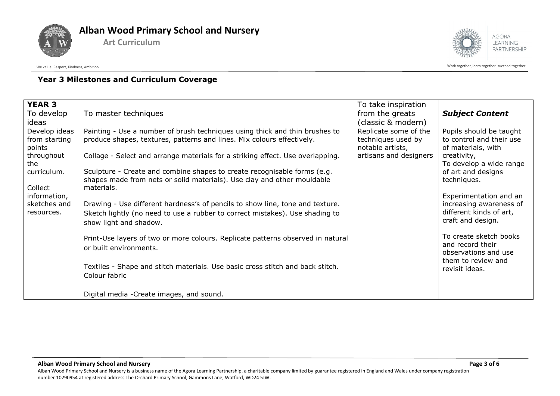



Work together, learn together, learn together, succeed together

# **Year 3 Milestones and Curriculum Coverage**

| <b>YEAR 3</b><br>To develop<br>ideas                                                                                                  | To master techniques                                                                                                                                                                                                                                                                                                                                                                                                                                                                                                                                                                                                                                                                                                                                                                                                                                                 | To take inspiration<br>from the greats<br>(classic & modern)                              | <b>Subject Content</b>                                                                                                                                                                                                                                                                                                                                                      |
|---------------------------------------------------------------------------------------------------------------------------------------|----------------------------------------------------------------------------------------------------------------------------------------------------------------------------------------------------------------------------------------------------------------------------------------------------------------------------------------------------------------------------------------------------------------------------------------------------------------------------------------------------------------------------------------------------------------------------------------------------------------------------------------------------------------------------------------------------------------------------------------------------------------------------------------------------------------------------------------------------------------------|-------------------------------------------------------------------------------------------|-----------------------------------------------------------------------------------------------------------------------------------------------------------------------------------------------------------------------------------------------------------------------------------------------------------------------------------------------------------------------------|
| Develop ideas<br>from starting<br>points<br>throughout<br>the<br>curriculum.<br>Collect<br>information,<br>sketches and<br>resources. | Painting - Use a number of brush techniques using thick and thin brushes to<br>produce shapes, textures, patterns and lines. Mix colours effectively.<br>Collage - Select and arrange materials for a striking effect. Use overlapping.<br>Sculpture - Create and combine shapes to create recognisable forms (e.g.<br>shapes made from nets or solid materials). Use clay and other mouldable<br>materials.<br>Drawing - Use different hardness's of pencils to show line, tone and texture.<br>Sketch lightly (no need to use a rubber to correct mistakes). Use shading to<br>show light and shadow.<br>Print-Use layers of two or more colours. Replicate patterns observed in natural<br>or built environments.<br>Textiles - Shape and stitch materials. Use basic cross stitch and back stitch.<br>Colour fabric<br>Digital media - Create images, and sound. | Replicate some of the<br>techniques used by<br>notable artists,<br>artisans and designers | Pupils should be taught<br>to control and their use<br>of materials, with<br>creativity,<br>To develop a wide range<br>of art and designs<br>techniques.<br>Experimentation and an<br>increasing awareness of<br>different kinds of art,<br>craft and design.<br>To create sketch books<br>and record their<br>observations and use<br>them to review and<br>revisit ideas. |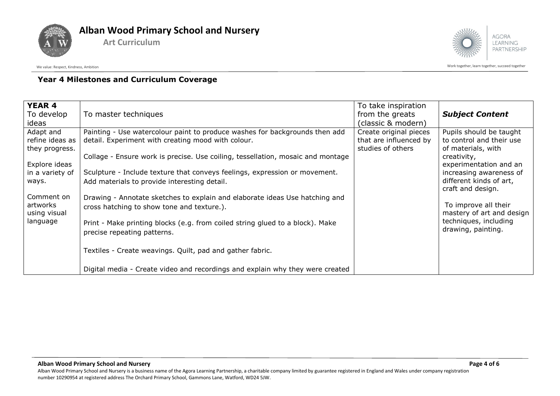



Work together, learn together, learn together, succeed together

## **Year 4 Milestones and Curriculum Coverage**

| <b>YEAR 4</b><br>To develop<br>ideas                                                                                                              | To master techniques                                                                                                                                                                                                                                                                                                                                                                                                                                                                                                                                                                                                                                         | To take inspiration<br>from the greats<br>(classic & modern)          | <b>Subject Content</b>                                                                                                                                                                                                                                                                            |
|---------------------------------------------------------------------------------------------------------------------------------------------------|--------------------------------------------------------------------------------------------------------------------------------------------------------------------------------------------------------------------------------------------------------------------------------------------------------------------------------------------------------------------------------------------------------------------------------------------------------------------------------------------------------------------------------------------------------------------------------------------------------------------------------------------------------------|-----------------------------------------------------------------------|---------------------------------------------------------------------------------------------------------------------------------------------------------------------------------------------------------------------------------------------------------------------------------------------------|
| Adapt and<br>refine ideas as<br>they progress.<br>Explore ideas<br>in a variety of<br>ways.<br>Comment on<br>artworks<br>using visual<br>language | Painting - Use watercolour paint to produce washes for backgrounds then add<br>detail. Experiment with creating mood with colour.<br>Collage - Ensure work is precise. Use coiling, tessellation, mosaic and montage<br>Sculpture - Include texture that conveys feelings, expression or movement.<br>Add materials to provide interesting detail.<br>Drawing - Annotate sketches to explain and elaborate ideas Use hatching and<br>cross hatching to show tone and texture.).<br>Print - Make printing blocks (e.g. from coiled string glued to a block). Make<br>precise repeating patterns.<br>Textiles - Create weavings. Quilt, pad and gather fabric. | Create original pieces<br>that are influenced by<br>studies of others | Pupils should be taught<br>to control and their use<br>of materials, with<br>creativity,<br>experimentation and an<br>increasing awareness of<br>different kinds of art,<br>craft and design.<br>To improve all their<br>mastery of art and design<br>techniques, including<br>drawing, painting. |
|                                                                                                                                                   | Digital media - Create video and recordings and explain why they were created                                                                                                                                                                                                                                                                                                                                                                                                                                                                                                                                                                                |                                                                       |                                                                                                                                                                                                                                                                                                   |

Alban Wood Primary School and Nursery is a business name of the Agora Learning Partnership, a charitable company limited by guarantee registered in England and Wales under company registration number 10290954 at registered address The Orchard Primary School, Gammons Lane, Watford, WD24 5JW.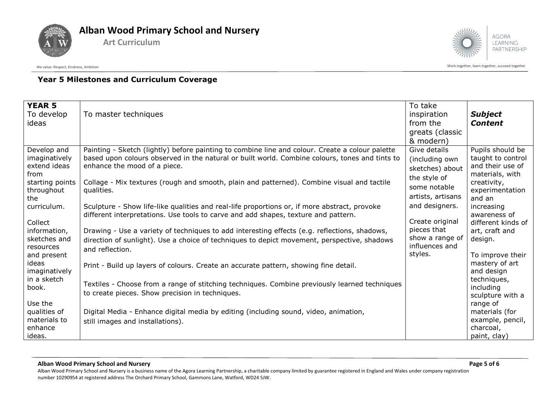



Work together, learn together, learn together, succeed together

# **Year 5 Milestones and Curriculum Coverage**

| <b>YEAR 5</b><br>To develop<br>ideas                 | To master techniques                                                                                                                                                                                                              | To take<br>inspiration<br>from the<br>greats (classic<br>& modern) | <b>Subject</b><br><b>Content</b>                                             |
|------------------------------------------------------|-----------------------------------------------------------------------------------------------------------------------------------------------------------------------------------------------------------------------------------|--------------------------------------------------------------------|------------------------------------------------------------------------------|
| Develop and<br>imaginatively<br>extend ideas<br>from | Painting - Sketch (lightly) before painting to combine line and colour. Create a colour palette<br>based upon colours observed in the natural or built world. Combine colours, tones and tints to<br>enhance the mood of a piece. | Give details<br>(including own<br>sketches) about                  | Pupils should be<br>taught to control<br>and their use of<br>materials, with |
| starting points<br>throughout<br>the                 | Collage - Mix textures (rough and smooth, plain and patterned). Combine visual and tactile<br>qualities.                                                                                                                          | the style of<br>some notable<br>artists, artisans                  | creativity,<br>experimentation<br>and an                                     |
| curriculum.<br>Collect                               | Sculpture - Show life-like qualities and real-life proportions or, if more abstract, provoke<br>different interpretations. Use tools to carve and add shapes, texture and pattern.                                                | and designers.<br>Create original                                  | increasing<br>awareness of<br>different kinds of                             |
| information,<br>sketches and<br>resources            | Drawing - Use a variety of techniques to add interesting effects (e.g. reflections, shadows,<br>direction of sunlight). Use a choice of techniques to depict movement, perspective, shadows<br>and reflection.                    | pieces that<br>show a range of<br>influences and                   | art, craft and<br>design.                                                    |
| and present<br>ideas<br>imaginatively<br>in a sketch | Print - Build up layers of colours. Create an accurate pattern, showing fine detail.                                                                                                                                              | styles.                                                            | To improve their<br>mastery of art<br>and design<br>techniques,              |
| book.<br>Use the                                     | Textiles - Choose from a range of stitching techniques. Combine previously learned techniques<br>to create pieces. Show precision in techniques.                                                                                  |                                                                    | including<br>sculpture with a<br>range of                                    |
| qualities of<br>materials to<br>enhance<br>ideas.    | Digital Media - Enhance digital media by editing (including sound, video, animation,<br>still images and installations).                                                                                                          |                                                                    | materials (for<br>example, pencil,<br>charcoal,<br>paint, clay)              |

#### **Alban Wood Primary School and Nursery Page 5 of 6**

Alban Wood Primary School and Nursery is a business name of the Agora Learning Partnership, a charitable company limited by guarantee registered in England and Wales under company registration number 10290954 at registered address The Orchard Primary School, Gammons Lane, Watford, WD24 5JW.